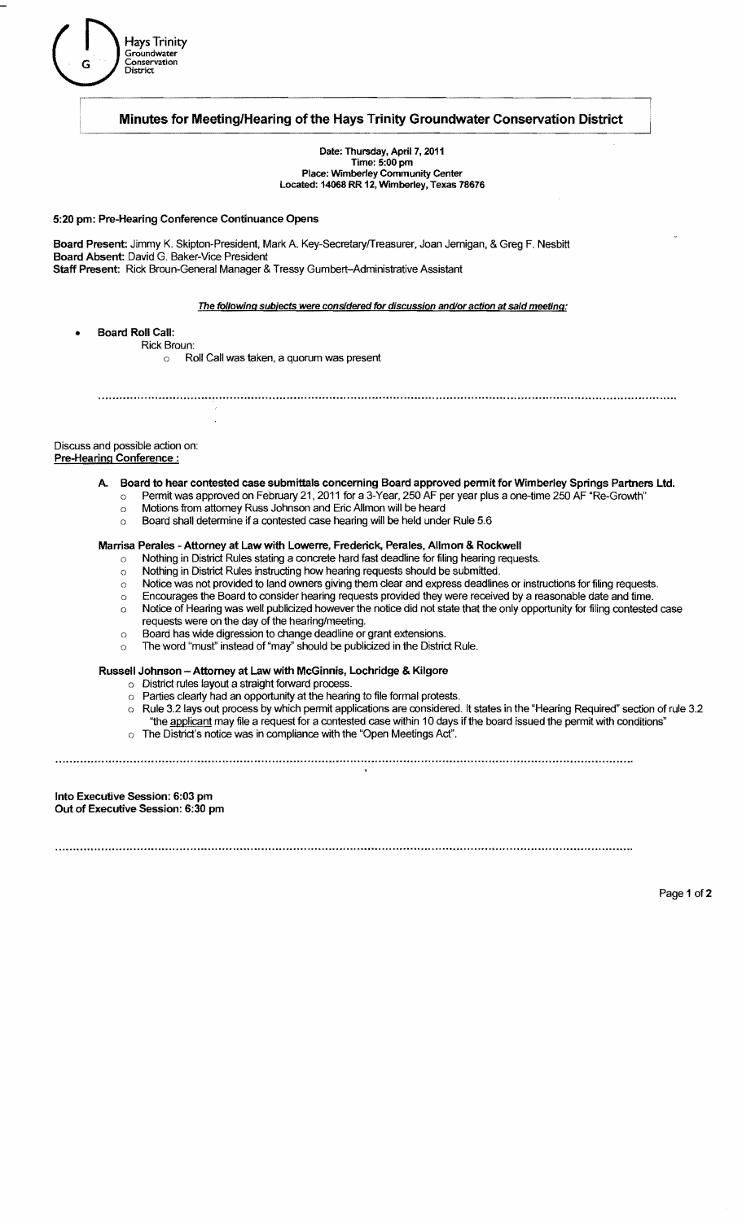

## Minutes for Meeting/Hearing of the Hays Trinity Groundwater Conservation District

Date: Thursday. April 7, 2011 Time: 5:00 pm<br>
Place: Wimberley Community Center<br>
Located: 14068 RR 12, Wimberley, Texas 78676

5:20 pm: Pre-Hearing Conference Continuance Opens

Board Present: Jimmy K. Skipton-President, Mark A. Key-Secretary/Treasurer, Joan Jemigan, & Greg F. Nesbitt Board Absent: David G. Baker-Vice President Staff Present: Rick Broun-General Manager & Tressy Gumbert-Administrative Assistant

The following subjects were considered for discussion and/or action at said meeting:

- Board Roll Call:
	- Rick Broun:
		- o Roll Call was taken, a quorum was present

Discuss and possible action on: Pre-Hearing Conference:

> A. Board to hear contested case submittals concerning Board approved permit for Wimberley Springs Partners Ltd. o Permit was approved on February 21, 2011 for a 3-Year, 250 AF per year plus a one-time 250 AF "Re-Growth"

- o Motions from attorney Russ Johnson and Eric Allmon will be heard
- o Board shall determine if a contested case hearing will be held under Rule 5.6

### Marrisa Perales - Attorney at Law with Lowerre, Frederick, Perales, Allmon & Rockwell

- o Nothing in District Rules stating a concrete hard fast deadline for filing hearing requests.
- o Nothing in District Rules instructing how hearing requests should be submitted.
- $\circ$  Notice was not provided to land owners giving them clear and express deadlines or instructions for filing requests.
- o Encourages the Board to consider hearing requests provided they were received by a reasonable date and time.
- o Notice of Hearing was well publicized however the notice did not state that the only opportunity for filing contested case requests were on the day of the hearing/meeting.
- o Board has wide digression to change deadline or grant extensions.
- The word "must" instead of "may" should be publicized in the District Rule.

#### Russell Johnson - Attorney at Law with McGinnis, Lochridge & Kilgore

- o District rules layout a straight forward process.
- o Parties clearly had an opportunity at the hearing to file formal protests.
- o Rule 3.2 lays out process by which permit applications are considered. It states in the "Hearing Required" section of rule 3.2 "the applicant may file a request for a contested case within 10 days ifthe board issued the permit with conditions"
- o The District's notice was in compliance with the "Open Meetings Act".

Into Executive Session: 6:03 pm Out of Executive Session: 6:30 pm